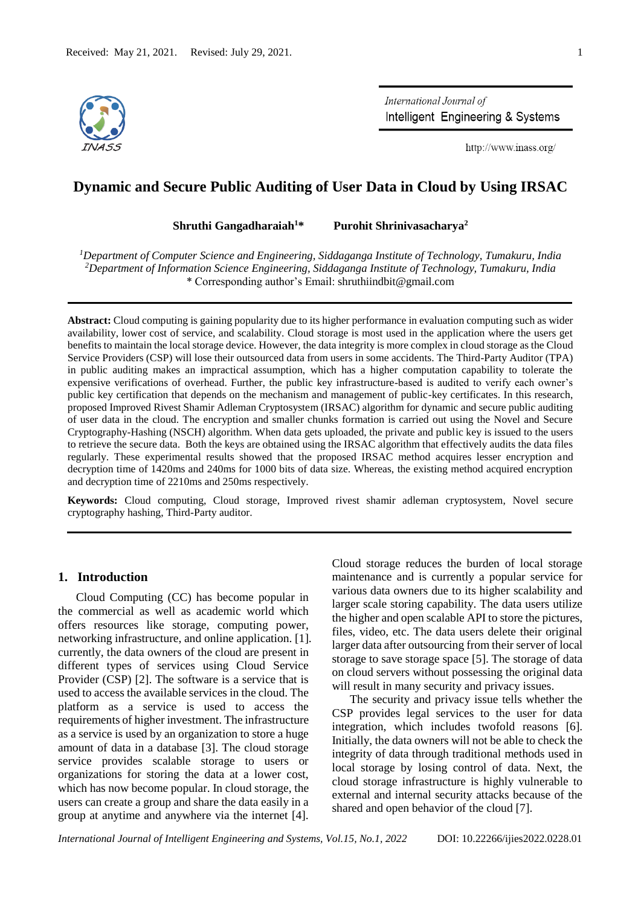

International Journal of Intelligent Engineering & Systems

http://www.inass.org/

# **Dynamic and Secure Public Auditing of User Data in Cloud by Using IRSAC**

**Shruthi Gangadharaiah<sup>1</sup>\* Purohit Shrinivasacharya<sup>2</sup>**

*<sup>1</sup>Department of Computer Science and Engineering, Siddaganga Institute of Technology, Tumakuru, India <sup>2</sup>Department of Information Science Engineering, Siddaganga Institute of Technology, Tumakuru, India* \* Corresponding author's Email: shruthiindbit@gmail.com

**Abstract:** Cloud computing is gaining popularity due to its higher performance in evaluation computing such as wider availability, lower cost of service, and scalability. Cloud storage is most used in the application where the users get benefits to maintain the local storage device. However, the data integrity is more complex in cloud storage as the Cloud Service Providers (CSP) will lose their outsourced data from users in some accidents. The Third-Party Auditor (TPA) in public auditing makes an impractical assumption, which has a higher computation capability to tolerate the expensive verifications of overhead. Further, the public key infrastructure-based is audited to verify each owner's public key certification that depends on the mechanism and management of public-key certificates. In this research, proposed Improved Rivest Shamir Adleman Cryptosystem (IRSAC) algorithm for dynamic and secure public auditing of user data in the cloud. The encryption and smaller chunks formation is carried out using the Novel and Secure Cryptography-Hashing (NSCH) algorithm. When data gets uploaded, the private and public key is issued to the users to retrieve the secure data. Both the keys are obtained using the IRSAC algorithm that effectively audits the data files regularly. These experimental results showed that the proposed IRSAC method acquires lesser encryption and decryption time of 1420ms and 240ms for 1000 bits of data size. Whereas, the existing method acquired encryption and decryption time of 2210ms and 250ms respectively.

**Keywords:** Cloud computing, Cloud storage, Improved rivest shamir adleman cryptosystem, Novel secure cryptography hashing, Third-Party auditor.

# **1. Introduction**

Cloud Computing (CC) has become popular in the commercial as well as academic world which offers resources like storage, computing power, networking infrastructure, and online application. [1]. currently, the data owners of the cloud are present in different types of services using Cloud Service Provider (CSP) [2]. The software is a service that is used to access the available services in the cloud. The platform as a service is used to access the requirements of higher investment. The infrastructure as a service is used by an organization to store a huge amount of data in a database [3]. The cloud storage service provides scalable storage to users or organizations for storing the data at a lower cost, which has now become popular. In cloud storage, the users can create a group and share the data easily in a group at anytime and anywhere via the internet [4].

Cloud storage reduces the burden of local storage maintenance and is currently a popular service for various data owners due to its higher scalability and larger scale storing capability. The data users utilize the higher and open scalable API to store the pictures, files, video, etc. The data users delete their original larger data after outsourcing from their server of local storage to save storage space [5]. The storage of data on cloud servers without possessing the original data will result in many security and privacy issues.

The security and privacy issue tells whether the CSP provides legal services to the user for data integration, which includes twofold reasons [6]. Initially, the data owners will not be able to check the integrity of data through traditional methods used in local storage by losing control of data. Next, the cloud storage infrastructure is highly vulnerable to external and internal security attacks because of the shared and open behavior of the cloud [7].

*International Journal of Intelligent Engineering and Systems, Vol.15, No.1, 2022* DOI: 10.22266/ijies2022.0228.01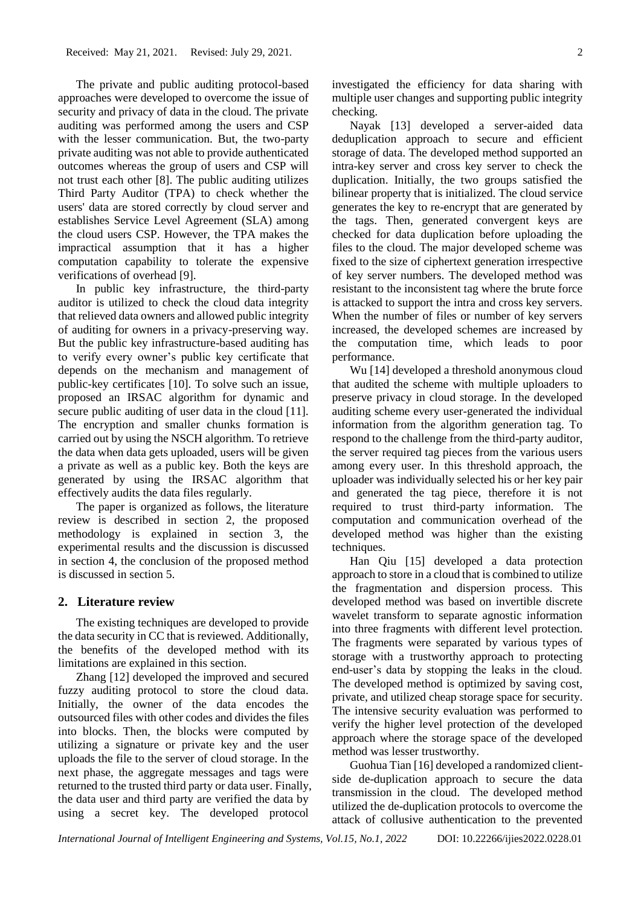The private and public auditing protocol-based approaches were developed to overcome the issue of security and privacy of data in the cloud. The private auditing was performed among the users and CSP with the lesser communication. But, the two-party private auditing was not able to provide authenticated outcomes whereas the group of users and CSP will not trust each other [8]. The public auditing utilizes Third Party Auditor (TPA) to check whether the users' data are stored correctly by cloud server and establishes Service Level Agreement (SLA) among the cloud users CSP. However, the TPA makes the impractical assumption that it has a higher computation capability to tolerate the expensive verifications of overhead [9].

In public key infrastructure, the third-party auditor is utilized to check the cloud data integrity that relieved data owners and allowed public integrity of auditing for owners in a privacy-preserving way. But the public key infrastructure-based auditing has to verify every owner's public key certificate that depends on the mechanism and management of public-key certificates [10]. To solve such an issue, proposed an IRSAC algorithm for dynamic and secure public auditing of user data in the cloud [11]. The encryption and smaller chunks formation is carried out by using the NSCH algorithm. To retrieve the data when data gets uploaded, users will be given a private as well as a public key. Both the keys are generated by using the IRSAC algorithm that effectively audits the data files regularly.

The paper is organized as follows, the literature review is described in section 2, the proposed methodology is explained in section 3, the experimental results and the discussion is discussed in section 4, the conclusion of the proposed method is discussed in section 5.

### **2. Literature review**

The existing techniques are developed to provide the data security in CC that is reviewed. Additionally, the benefits of the developed method with its limitations are explained in this section.

Zhang [12] developed the improved and secured fuzzy auditing protocol to store the cloud data. Initially, the owner of the data encodes the outsourced files with other codes and divides the files into blocks. Then, the blocks were computed by utilizing a signature or private key and the user uploads the file to the server of cloud storage. In the next phase, the aggregate messages and tags were returned to the trusted third party or data user. Finally, the data user and third party are verified the data by using a secret key. The developed protocol

investigated the efficiency for data sharing with multiple user changes and supporting public integrity checking.

Nayak [13] developed a server-aided data deduplication approach to secure and efficient storage of data. The developed method supported an intra-key server and cross key server to check the duplication. Initially, the two groups satisfied the bilinear property that is initialized. The cloud service generates the key to re-encrypt that are generated by the tags. Then, generated convergent keys are checked for data duplication before uploading the files to the cloud. The major developed scheme was fixed to the size of ciphertext generation irrespective of key server numbers. The developed method was resistant to the inconsistent tag where the brute force is attacked to support the intra and cross key servers. When the number of files or number of key servers increased, the developed schemes are increased by the computation time, which leads to poor performance.

Wu [14] developed a threshold anonymous cloud that audited the scheme with multiple uploaders to preserve privacy in cloud storage. In the developed auditing scheme every user-generated the individual information from the algorithm generation tag. To respond to the challenge from the third-party auditor, the server required tag pieces from the various users among every user. In this threshold approach, the uploader was individually selected his or her key pair and generated the tag piece, therefore it is not required to trust third-party information. The computation and communication overhead of the developed method was higher than the existing techniques.

Han Qiu [15] developed a data protection approach to store in a cloud that is combined to utilize the fragmentation and dispersion process. This developed method was based on invertible discrete wavelet transform to separate agnostic information into three fragments with different level protection. The fragments were separated by various types of storage with a trustworthy approach to protecting end-user's data by stopping the leaks in the cloud. The developed method is optimized by saving cost, private, and utilized cheap storage space for security. The intensive security evaluation was performed to verify the higher level protection of the developed approach where the storage space of the developed method was lesser trustworthy.

Guohua Tian [16] developed a randomized clientside de-duplication approach to secure the data transmission in the cloud. The developed method utilized the de-duplication protocols to overcome the attack of collusive authentication to the prevented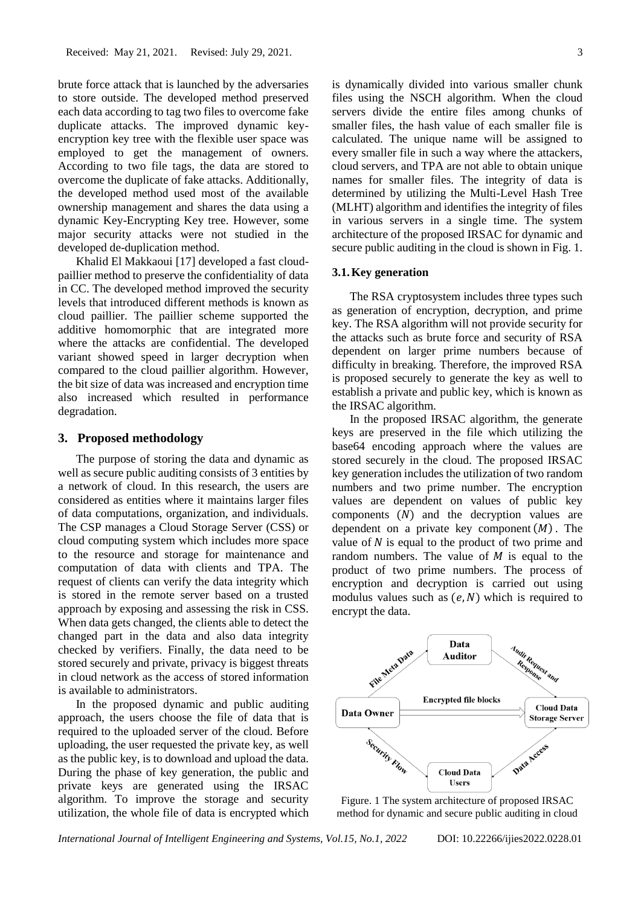brute force attack that is launched by the adversaries to store outside. The developed method preserved each data according to tag two files to overcome fake duplicate attacks. The improved dynamic keyencryption key tree with the flexible user space was employed to get the management of owners. According to two file tags, the data are stored to overcome the duplicate of fake attacks. Additionally, the developed method used most of the available ownership management and shares the data using a dynamic Key-Encrypting Key tree. However, some major security attacks were not studied in the developed de-duplication method.

Khalid El Makkaoui [17] developed a fast cloudpaillier method to preserve the confidentiality of data in CC. The developed method improved the security levels that introduced different methods is known as cloud paillier. The paillier scheme supported the additive homomorphic that are integrated more where the attacks are confidential. The developed variant showed speed in larger decryption when compared to the cloud paillier algorithm. However, the bit size of data was increased and encryption time also increased which resulted in performance degradation.

# **3. Proposed methodology**

The purpose of storing the data and dynamic as well as secure public auditing consists of 3 entities by a network of cloud. In this research, the users are considered as entities where it maintains larger files of data computations, organization, and individuals. The CSP manages a Cloud Storage Server (CSS) or cloud computing system which includes more space to the resource and storage for maintenance and computation of data with clients and TPA. The request of clients can verify the data integrity which is stored in the remote server based on a trusted approach by exposing and assessing the risk in CSS. When data gets changed, the clients able to detect the changed part in the data and also data integrity checked by verifiers. Finally, the data need to be stored securely and private, privacy is biggest threats in cloud network as the access of stored information is available to administrators.

In the proposed dynamic and public auditing approach, the users choose the file of data that is required to the uploaded server of the cloud. Before uploading, the user requested the private key, as well as the public key, is to download and upload the data. During the phase of key generation, the public and private keys are generated using the IRSAC algorithm. To improve the storage and security utilization, the whole file of data is encrypted which is dynamically divided into various smaller chunk files using the NSCH algorithm. When the cloud servers divide the entire files among chunks of smaller files, the hash value of each smaller file is calculated. The unique name will be assigned to every smaller file in such a way where the attackers, cloud servers, and TPA are not able to obtain unique names for smaller files. The integrity of data is determined by utilizing the Multi-Level Hash Tree (MLHT) algorithm and identifies the integrity of files in various servers in a single time. The system architecture of the proposed IRSAC for dynamic and secure public auditing in the cloud is shown in Fig. 1.

### **3.1.Key generation**

The RSA cryptosystem includes three types such as generation of encryption, decryption, and prime key. The RSA algorithm will not provide security for the attacks such as brute force and security of RSA dependent on larger prime numbers because of difficulty in breaking. Therefore, the improved RSA is proposed securely to generate the key as well to establish a private and public key, which is known as the IRSAC algorithm.

In the proposed IRSAC algorithm, the generate keys are preserved in the file which utilizing the base64 encoding approach where the values are stored securely in the cloud. The proposed IRSAC key generation includes the utilization of two random numbers and two prime number. The encryption values are dependent on values of public key components  $(N)$  and the decryption values are dependent on a private key component  $(M)$ . The value of  $N$  is equal to the product of two prime and random numbers. The value of  $M$  is equal to the product of two prime numbers. The process of encryption and decryption is carried out using modulus values such as  $(e, N)$  which is required to encrypt the data.



Figure. 1 The system architecture of proposed IRSAC method for dynamic and secure public auditing in cloud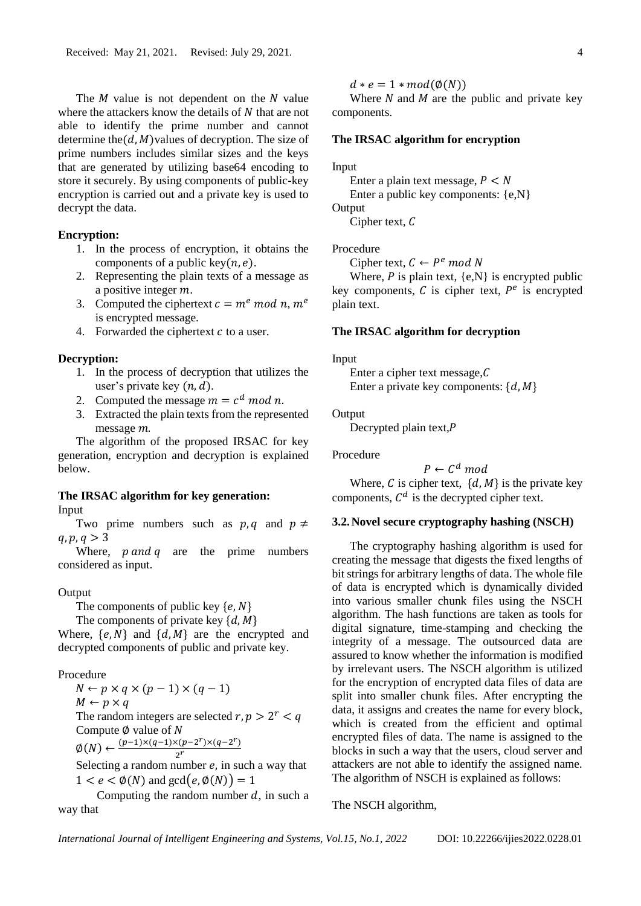The  $M$  value is not dependent on the  $N$  value where the attackers know the details of  $N$  that are not able to identify the prime number and cannot determine the( $d$ ,  $M$ )values of decryption. The size of prime numbers includes similar sizes and the keys that are generated by utilizing base64 encoding to store it securely. By using components of public-key encryption is carried out and a private key is used to decrypt the data.

### **Encryption:**

- 1. In the process of encryption, it obtains the components of a public key $(n, e)$ .
- 2. Representing the plain texts of a message as a positive integer  $m$ .
- 3. Computed the ciphertext  $c = m^e \mod n$ ,  $m^e$ is encrypted message.
- 4. Forwarded the ciphertext  $c$  to a user.

# **Decryption:**

- 1. In the process of decryption that utilizes the user's private key  $(n, d)$ .
- 2. Computed the message  $m = c^d \mod n$ .
- 3. Extracted the plain texts from the represented  $m$ essage  $m$ .

The algorithm of the proposed IRSAC for key generation, encryption and decryption is explained below.

# **The IRSAC algorithm for key generation:** Input

Two prime numbers such as  $p, q$  and  $p \neq$  $q, p, q > 3$ 

Where,  $p$  and  $q$  are the prime numbers considered as input.

### **Output**

The components of public key  $\{e, N\}$ 

The components of private key  $\{d, M\}$ 

Where,  $\{e, N\}$  and  $\{d, M\}$  are the encrypted and decrypted components of public and private key.

Procedure

 $N \leftarrow p \times q \times (p-1) \times (q-1)$  $M \leftarrow p \times q$ The random integers are selected  $r, p > 2^r < q$ Compute  $\emptyset$  value of N  $\emptyset(N) \leftarrow \frac{(p-1)\times(q-1)\times(p-2^r)\times(q-2^r)}{2^r}$  $2<sup>r</sup>$ 

Selecting a random number  $e$ , in such a way that  $1 < e < \phi(N)$  and  $gcd(e, \phi(N)) = 1$ 

Computing the random number  $d$ , in such a way that

 $d * e = 1 * mod(\phi(N))$ 

Where  $N$  and  $M$  are the public and private key components.

# **The IRSAC algorithm for encryption**

### Input

Enter a plain text message,  $P \leq N$ Enter a public key components: {e,N}

**Output** 

Cipher text,  $C$ 

# Procedure

Cipher text,  $C \leftarrow P^e \mod N$ 

Where,  $P$  is plain text,  $\{e, N\}$  is encrypted public key components,  $C$  is cipher text,  $P^e$  is encrypted plain text.

#### **The IRSAC algorithm for decryption**

#### Input

Enter a cipher text message,  $C$ Enter a private key components:  $\{d, M\}$ 

#### **Output**

Decrypted plain text, $P$ 

Procedure

 $P \leftarrow C^d \mod$ Where,  $C$  is cipher text,  $\{d, M\}$  is the private key components,  $C<sup>d</sup>$  is the decrypted cipher text.

# **3.2.Novel secure cryptography hashing (NSCH)**

The cryptography hashing algorithm is used for creating the message that digests the fixed lengths of bit strings for arbitrary lengths of data. The whole file of data is encrypted which is dynamically divided into various smaller chunk files using the NSCH algorithm. The hash functions are taken as tools for digital signature, time-stamping and checking the integrity of a message. The outsourced data are assured to know whether the information is modified by irrelevant users. The NSCH algorithm is utilized for the encryption of encrypted data files of data are split into smaller chunk files. After encrypting the data, it assigns and creates the name for every block, which is created from the efficient and optimal encrypted files of data. The name is assigned to the blocks in such a way that the users, cloud server and attackers are not able to identify the assigned name. The algorithm of NSCH is explained as follows:

### The NSCH algorithm,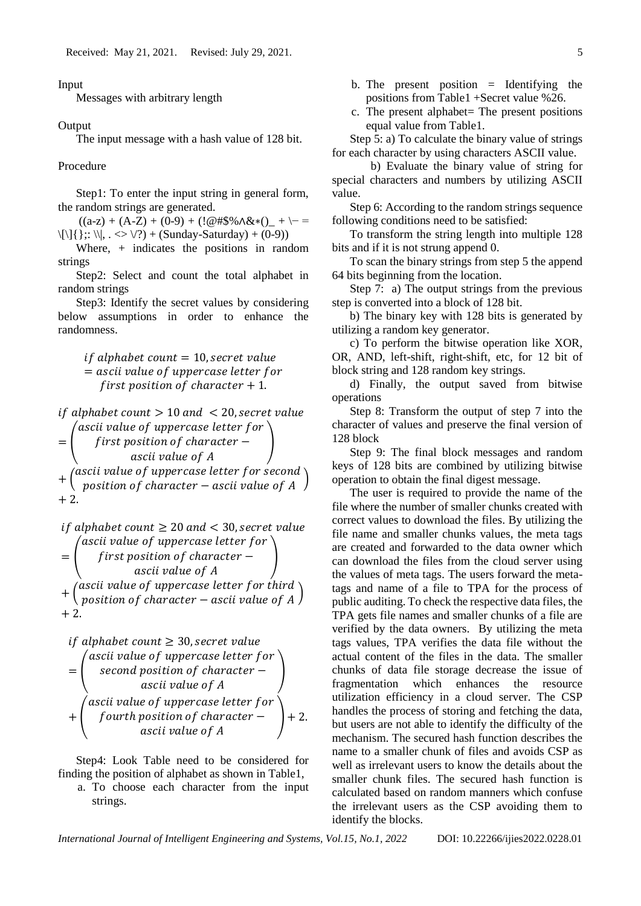Input

Messages with arbitrary length

**Output** 

The input message with a hash value of 128 bit.

Procedure

Step1: To enter the input string in general form, the random strings are generated.

 $((a-z) + (A-Z) + (0-9) + (!@#$% \wedge \&*)(\_ + \$  $\{\|\}\;;\; \|\, , \ \ \leq \ \vee\; ?$  + (Sunday-Saturday) + (0-9))

Where, + indicates the positions in random strings

Step2: Select and count the total alphabet in random strings

Step3: Identify the secret values by considering below assumptions in order to enhance the randomness.

> $if \ alphabet \ count = 10$ , secret value  $=$  ascii value of uppercase letter for first position of character  $+1$ .

if alphabet count  $> 10$  and  $< 20$ , secret value = (  $\hat{a}$ scii value of uppercase letter for  $first$  position of character  $$ ascii value of A )  $+$  (ascii value of uppercase letter for second<br> $+$  (exaction of shape true casii value of  $\Lambda$  $\frac{1}{100}$   $\frac{1}{100}$   $\frac{1}{100}$   $\frac{1}{100}$   $\frac{1}{100}$   $\frac{1}{100}$   $\frac{1}{100}$   $\frac{1}{100}$   $\frac{1}{100}$   $\frac{1}{100}$   $\frac{1}{100}$   $\frac{1}{100}$   $\frac{1}{100}$   $\frac{1}{100}$   $\frac{1}{100}$   $\frac{1}{100}$   $\frac{1}{100}$   $\frac{1}{100}$   $\frac{1$  $+2$ .

if alphabet count 
$$
\geq 20
$$
 and  $< 30$ , secret value  
\n
$$
= \begin{pmatrix}\nascii value of uppercase letter for\nfirst position of character -\nascii value of A\n\end{pmatrix}
$$
\n
$$
+ \begin{pmatrix}\nascii value of uppercase letter for third\nposition of character - ascii value of A\n\end{pmatrix}
$$
\n+2.

if alphabet count 
$$
\geq 30
$$
, secret value  
\n
$$
= \begin{pmatrix} \text{ascii value of uppercase letter for} \\ \text{second position of character} - \\ \text{ascii value of A} \end{pmatrix}
$$
\n
$$
+ \begin{pmatrix} \text{ascii value of uppercase letter for} \\ \text{fourth position of character} - \\ \text{ascii value of A} \end{pmatrix} + 2.
$$

Step4: Look Table need to be considered for finding the position of alphabet as shown in Table1,

a. To choose each character from the input strings.

- b. The present position  $=$  Identifying the positions from Table1 +Secret value %26.
- c. The present alphabet= The present positions equal value from Table1.

Step 5: a) To calculate the binary value of strings for each character by using characters ASCII value.

b) Evaluate the binary value of string for special characters and numbers by utilizing ASCII value.

Step 6: According to the random strings sequence following conditions need to be satisfied:

To transform the string length into multiple 128 bits and if it is not strung append 0.

To scan the binary strings from step 5 the append 64 bits beginning from the location.

Step 7: a) The output strings from the previous step is converted into a block of 128 bit.

b) The binary key with 128 bits is generated by utilizing a random key generator.

c) To perform the bitwise operation like XOR, OR, AND, left-shift, right-shift, etc, for 12 bit of block string and 128 random key strings.

d) Finally, the output saved from bitwise operations

Step 8: Transform the output of step 7 into the character of values and preserve the final version of 128 block

Step 9: The final block messages and random keys of 128 bits are combined by utilizing bitwise operation to obtain the final digest message.

The user is required to provide the name of the file where the number of smaller chunks created with correct values to download the files. By utilizing the file name and smaller chunks values, the meta tags are created and forwarded to the data owner which can download the files from the cloud server using the values of meta tags. The users forward the metatags and name of a file to TPA for the process of public auditing. To check the respective data files, the TPA gets file names and smaller chunks of a file are verified by the data owners. By utilizing the meta tags values, TPA verifies the data file without the actual content of the files in the data. The smaller chunks of data file storage decrease the issue of fragmentation which enhances the resource utilization efficiency in a cloud server. The CSP handles the process of storing and fetching the data, but users are not able to identify the difficulty of the mechanism. The secured hash function describes the name to a smaller chunk of files and avoids CSP as well as irrelevant users to know the details about the smaller chunk files. The secured hash function is calculated based on random manners which confuse the irrelevant users as the CSP avoiding them to identify the blocks.

*International Journal of Intelligent Engineering and Systems, Vol.15, No.1, 2022* DOI: 10.22266/ijies2022.0228.01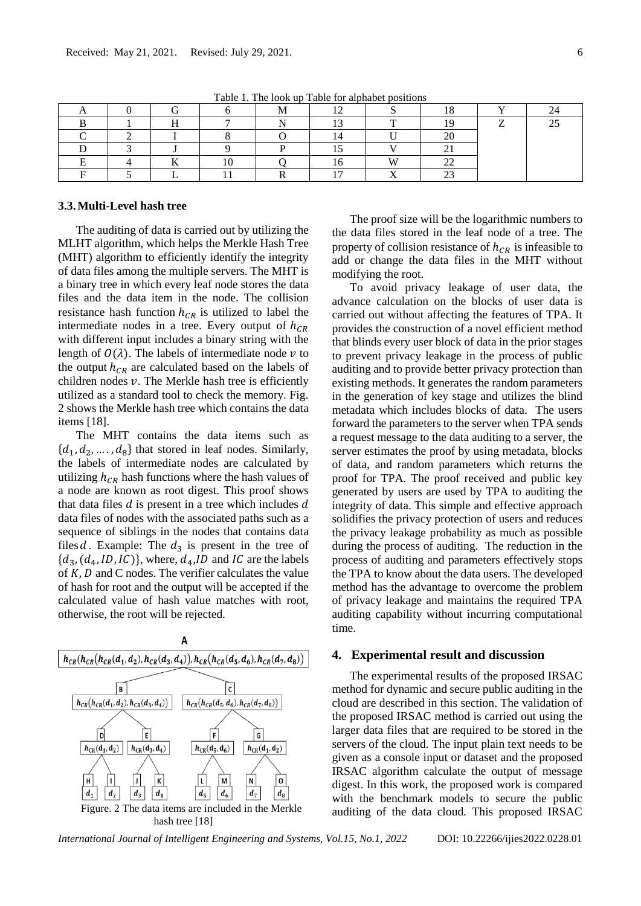|  |  |      | Tuble 1. The fook up Tuble for uphable positions |            |    |  |
|--|--|------|--------------------------------------------------|------------|----|--|
|  |  | 1V.L |                                                  |            | ⊥∪ |  |
|  |  | `    |                                                  | -          |    |  |
|  |  |      |                                                  |            | ∠∪ |  |
|  |  |      |                                                  |            | ⊷  |  |
|  |  |      |                                                  | <b>TTT</b> | -- |  |
|  |  |      |                                                  |            | -- |  |

Table 1. The look up Table for alphabet positions

# **3.3.Multi-Level hash tree**

The auditing of data is carried out by utilizing the MLHT algorithm, which helps the Merkle Hash Tree (MHT) algorithm to efficiently identify the integrity of data files among the multiple servers. The MHT is a binary tree in which every leaf node stores the data files and the data item in the node. The collision resistance hash function  $h_{CR}$  is utilized to label the intermediate nodes in a tree. Every output of  $h_{CR}$ with different input includes a binary string with the length of  $O(\lambda)$ . The labels of intermediate node v to the output  $h_{CR}$  are calculated based on the labels of children nodes  $v$ . The Merkle hash tree is efficiently utilized as a standard tool to check the memory. Fig. 2 shows the Merkle hash tree which contains the data items [18].

The MHT contains the data items such as  $\{d_1, d_2, \ldots, d_8\}$  that stored in leaf nodes. Similarly, the labels of intermediate nodes are calculated by utilizing  $h_{CR}$  hash functions where the hash values of a node are known as root digest. This proof shows that data files  $d$  is present in a tree which includes  $d$ data files of nodes with the associated paths such as a sequence of siblings in the nodes that contains data files d. Example: The  $d_3$  is present in the tree of  ${d_3, (d_4, ID, IC)}$ , where,  $d_4$ , *ID* and *IC* are the labels of  $K, D$  and C nodes. The verifier calculates the value of hash for root and the output will be accepted if the calculated value of hash value matches with root, otherwise, the root will be rejected.



The proof size will be the logarithmic numbers to the data files stored in the leaf node of a tree. The property of collision resistance of  $h_{CR}$  is infeasible to add or change the data files in the MHT without modifying the root.

To avoid privacy leakage of user data, the advance calculation on the blocks of user data is carried out without affecting the features of TPA. It provides the construction of a novel efficient method that blinds every user block of data in the prior stages to prevent privacy leakage in the process of public auditing and to provide better privacy protection than existing methods. It generates the random parameters in the generation of key stage and utilizes the blind metadata which includes blocks of data. The users forward the parameters to the server when TPA sends a request message to the data auditing to a server, the server estimates the proof by using metadata, blocks of data, and random parameters which returns the proof for TPA. The proof received and public key generated by users are used by TPA to auditing the integrity of data. This simple and effective approach solidifies the privacy protection of users and reduces the privacy leakage probability as much as possible during the process of auditing. The reduction in the process of auditing and parameters effectively stops the TPA to know about the data users. The developed method has the advantage to overcome the problem of privacy leakage and maintains the required TPA auditing capability without incurring computational time.

# **4. Experimental result and discussion**

The experimental results of the proposed IRSAC method for dynamic and secure public auditing in the cloud are described in this section. The validation of the proposed IRSAC method is carried out using the larger data files that are required to be stored in the servers of the cloud. The input plain text needs to be given as a console input or dataset and the proposed IRSAC algorithm calculate the output of message digest. In this work, the proposed work is compared with the benchmark models to secure the public auditing of the data cloud. This proposed IRSAC

*International Journal of Intelligent Engineering and Systems, Vol.15, No.1, 2022* DOI: 10.22266/ijies2022.0228.01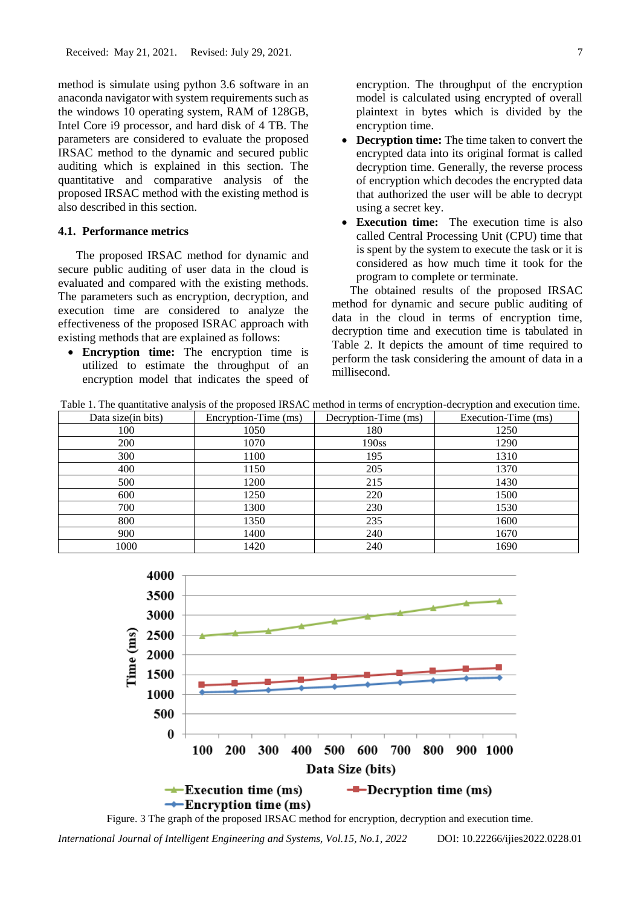method is simulate using python 3.6 software in an anaconda navigator with system requirements such as the windows 10 operating system, RAM of 128GB, Intel Core i9 processor, and hard disk of 4 TB. The parameters are considered to evaluate the proposed IRSAC method to the dynamic and secured public auditing which is explained in this section. The quantitative and comparative analysis of the proposed IRSAC method with the existing method is also described in this section.

# **4.1. Performance metrics**

The proposed IRSAC method for dynamic and secure public auditing of user data in the cloud is evaluated and compared with the existing methods. The parameters such as encryption, decryption, and execution time are considered to analyze the effectiveness of the proposed ISRAC approach with existing methods that are explained as follows:

• **Encryption time:** The encryption time is utilized to estimate the throughput of an encryption model that indicates the speed of encryption. The throughput of the encryption model is calculated using encrypted of overall plaintext in bytes which is divided by the encryption time.

- **Decryption time:** The time taken to convert the encrypted data into its original format is called decryption time. Generally, the reverse process of encryption which decodes the encrypted data that authorized the user will be able to decrypt using a secret key.
- **Execution time:** The execution time is also called Central Processing Unit (CPU) time that is spent by the system to execute the task or it is considered as how much time it took for the program to complete or terminate.

The obtained results of the proposed IRSAC method for dynamic and secure public auditing of data in the cloud in terms of encryption time, decryption time and execution time is tabulated in Table 2. It depicts the amount of time required to perform the task considering the amount of data in a millisecond.

Table 1. The quantitative analysis of the proposed IRSAC method in terms of encryption-decryption and execution time.

| Data size(in bits) | Encryption-Time (ms) | Decryption-Time (ms) | Execution-Time (ms) |
|--------------------|----------------------|----------------------|---------------------|
| 100                | 1050                 | 180                  | 1250                |
| 200                | 1070                 | 190ss                | 1290                |
| 300                | 1100                 | 195                  | 1310                |
| 400                | 1150                 | 205                  | 1370                |
| 500                | 1200                 | 215                  | 1430                |
| 600                | 1250                 | 220                  | 1500                |
| 700                | 1300                 | 230                  | 1530                |
| 800                | 1350                 | 235                  | 1600                |
| 900                | 1400                 | 240                  | 1670                |
| 1000               | 1420                 | 240                  | 1690                |



Figure. 3 The graph of the proposed IRSAC method for encryption, decryption and execution time.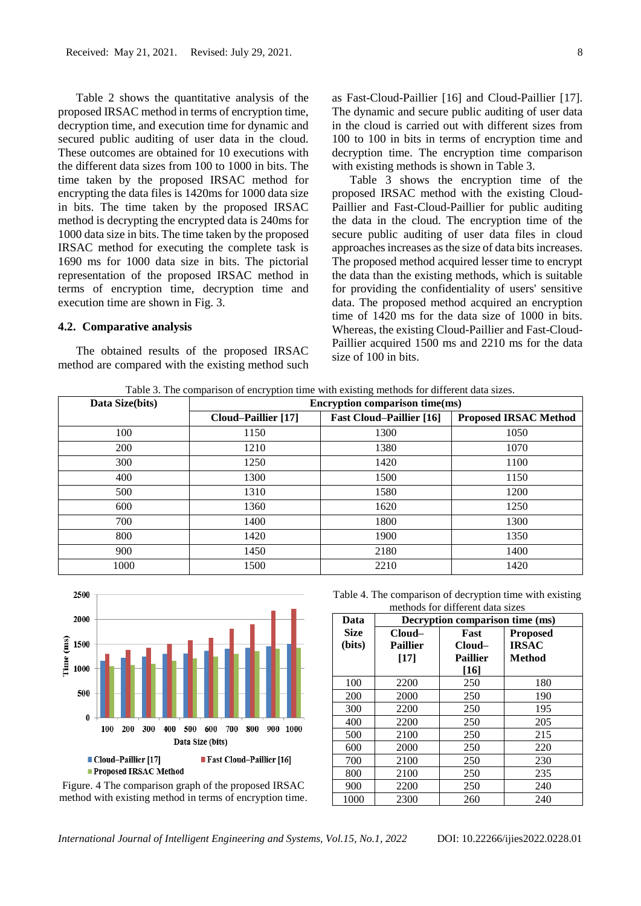Table 2 shows the quantitative analysis of the proposed IRSAC method in terms of encryption time, decryption time, and execution time for dynamic and secured public auditing of user data in the cloud. These outcomes are obtained for 10 executions with the different data sizes from 100 to 1000 in bits. The time taken by the proposed IRSAC method for encrypting the data files is 1420ms for 1000 data size in bits. The time taken by the proposed IRSAC method is decrypting the encrypted data is 240ms for 1000 data size in bits. The time taken by the proposed IRSAC method for executing the complete task is 1690 ms for 1000 data size in bits. The pictorial representation of the proposed IRSAC method in terms of encryption time, decryption time and execution time are shown in Fig. 3.

# **4.2. Comparative analysis**

The obtained results of the proposed IRSAC method are compared with the existing method such as Fast-Cloud-Paillier [16] and Cloud-Paillier [17]. The dynamic and secure public auditing of user data in the cloud is carried out with different sizes from 100 to 100 in bits in terms of encryption time and decryption time. The encryption time comparison with existing methods is shown in Table 3.

Table 3 shows the encryption time of the proposed IRSAC method with the existing Cloud-Paillier and Fast-Cloud-Paillier for public auditing the data in the cloud. The encryption time of the secure public auditing of user data files in cloud approaches increases as the size of data bits increases. The proposed method acquired lesser time to encrypt the data than the existing methods, which is suitable for providing the confidentiality of users' sensitive data. The proposed method acquired an encryption time of 1420 ms for the data size of 1000 in bits. Whereas, the existing Cloud-Paillier and Fast-Cloud-Paillier acquired 1500 ms and 2210 ms for the data size of 100 in bits.

Table 3. The comparison of encryption time with existing methods for different data sizes.

| Data Size(bits)<br>Encryption comparison time(ms) |                     |                                 |                              |
|---------------------------------------------------|---------------------|---------------------------------|------------------------------|
|                                                   | Cloud-Paillier [17] | <b>Fast Cloud–Paillier [16]</b> | <b>Proposed IRSAC Method</b> |
| 100                                               | 1150                | 1300                            | 1050                         |
| 200                                               | 1210                | 1380                            | 1070                         |
| 300                                               | 1250                | 1420                            | 1100                         |
| 400                                               | 1300                | 1500                            | 1150                         |
| 500                                               | 1310                | 1580                            | 1200                         |
| 600                                               | 1360                | 1620                            | 1250                         |
| 700                                               | 1400                | 1800                            | 1300                         |
| 800                                               | 1420                | 1900                            | 1350                         |
| 900                                               | 1450                | 2180                            | 1400                         |
| 1000                                              | 1500                | 2210                            | 1420                         |



Figure. 4 The comparison graph of the proposed IRSAC method with existing method in terms of encryption time.

Table 4. The comparison of decryption time with existing methods for different data sizes

| Data        | Decryption comparison time (ms) |                 |                 |  |
|-------------|---------------------------------|-----------------|-----------------|--|
| <b>Size</b> | $Cloud-$                        | Fast            | <b>Proposed</b> |  |
| (bits)      | <b>Paillier</b>                 | Cloud–          | <b>IRSAC</b>    |  |
|             | [17]                            | <b>Paillier</b> | Method          |  |
|             |                                 | $[16]$          |                 |  |
| 100         | 2200                            | 250             | 180             |  |
| 200         | 2000                            | 250             | 190             |  |
| 300         | 2200                            | 250             | 195             |  |
| 400         | 2200                            | 250             | 205             |  |
| 500         | 2100                            | 250             | 215             |  |
| 600         | 2000                            | 250             | 220             |  |
| 700         | 2100                            | 250             | 230             |  |
| 800         | 2100                            | 250             | 235             |  |
| 900         | 2200                            | 250             | 240             |  |
| 1000        | 2300                            | 260             | 240             |  |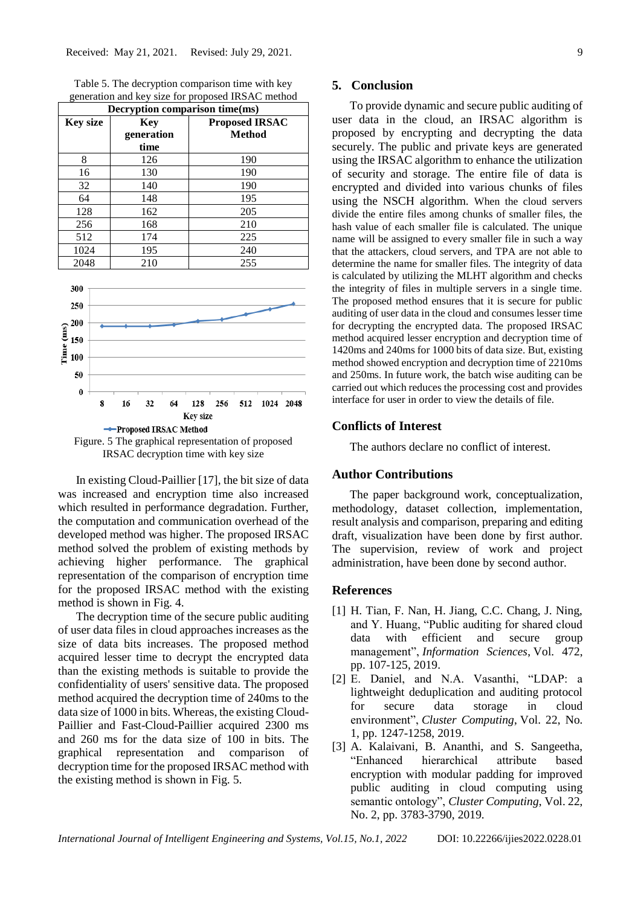Table 5. The decryption comparison time with key generation and key size for proposed IRSAC method

| Decryption comparison time(ms) |                                  |                                 |  |  |
|--------------------------------|----------------------------------|---------------------------------|--|--|
| <b>Key size</b>                | <b>Key</b><br>generation<br>time | <b>Proposed IRSAC</b><br>Method |  |  |
| 8                              | 126                              | 190                             |  |  |
| 16                             | 130                              | 190                             |  |  |
| 32                             | 140                              | 190                             |  |  |
| 64                             | 148                              | 195                             |  |  |
| 128                            | 162                              | 205                             |  |  |
| 256                            | 168                              | 210                             |  |  |
| 512                            | 174                              | 225                             |  |  |
| 1024                           | 195                              | 240                             |  |  |
| 2048                           | 210                              | 255                             |  |  |





In existing Cloud-Paillier [17], the bit size of data was increased and encryption time also increased which resulted in performance degradation. Further, the computation and communication overhead of the developed method was higher. The proposed IRSAC method solved the problem of existing methods by achieving higher performance. The graphical representation of the comparison of encryption time for the proposed IRSAC method with the existing method is shown in Fig. 4.

The decryption time of the secure public auditing of user data files in cloud approaches increases as the size of data bits increases. The proposed method acquired lesser time to decrypt the encrypted data than the existing methods is suitable to provide the confidentiality of users' sensitive data. The proposed method acquired the decryption time of 240ms to the data size of 1000 in bits. Whereas, the existing Cloud-Paillier and Fast-Cloud-Paillier acquired 2300 ms and 260 ms for the data size of 100 in bits. The graphical representation and comparison of decryption time for the proposed IRSAC method with the existing method is shown in Fig. 5.

#### **5. Conclusion**

To provide dynamic and secure public auditing of user data in the cloud, an IRSAC algorithm is proposed by encrypting and decrypting the data securely. The public and private keys are generated using the IRSAC algorithm to enhance the utilization of security and storage. The entire file of data is encrypted and divided into various chunks of files using the NSCH algorithm. When the cloud servers divide the entire files among chunks of smaller files, the hash value of each smaller file is calculated. The unique name will be assigned to every smaller file in such a way that the attackers, cloud servers, and TPA are not able to determine the name for smaller files. The integrity of data is calculated by utilizing the MLHT algorithm and checks the integrity of files in multiple servers in a single time. The proposed method ensures that it is secure for public auditing of user data in the cloud and consumes lesser time for decrypting the encrypted data. The proposed IRSAC method acquired lesser encryption and decryption time of 1420ms and 240ms for 1000 bits of data size. But, existing method showed encryption and decryption time of 2210ms and 250ms. In future work, the batch wise auditing can be carried out which reduces the processing cost and provides interface for user in order to view the details of file.

### **Conflicts of Interest**

The authors declare no conflict of interest.

# **Author Contributions**

The paper background work, conceptualization, methodology, dataset collection, implementation, result analysis and comparison, preparing and editing draft, visualization have been done by first author. The supervision, review of work and project administration, have been done by second author.

# **References**

- [1] H. Tian, F. Nan, H. Jiang, C.C. Chang, J. Ning, and Y. Huang, "Public auditing for shared cloud data with efficient and secure group management", *Information Sciences*, Vol. 472, pp. 107-125, 2019.
- [2] E. Daniel, and N.A. Vasanthi, "LDAP: a lightweight deduplication and auditing protocol for secure data storage in cloud environment", *Cluster Computing*, Vol. 22, No. 1, pp. 1247-1258, 2019.
- [3] A. Kalaivani, B. Ananthi, and S. Sangeetha, "Enhanced hierarchical attribute based encryption with modular padding for improved public auditing in cloud computing using semantic ontology", *Cluster Computing*, Vol. 22, No. 2, pp. 3783-3790, 2019.